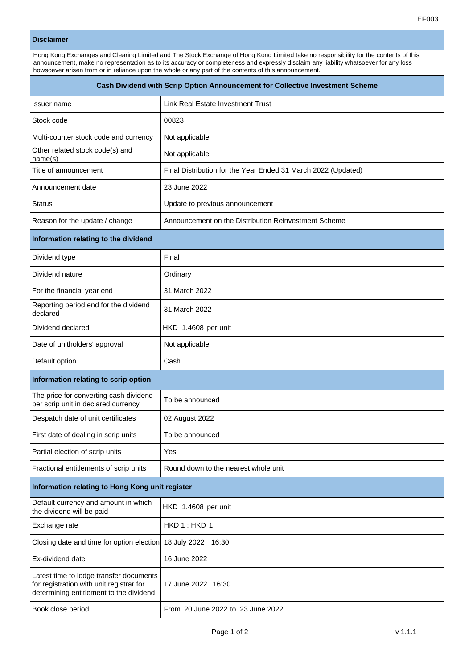## **Disclaimer**

Hong Kong Exchanges and Clearing Limited and The Stock Exchange of Hong Kong Limited take no responsibility for the contents of this announcement, make no representation as to its accuracy or completeness and expressly disclaim any liability whatsoever for any loss howsoever arisen from or in reliance upon the whole or any part of the contents of this announcement.

| Cash Dividend with Scrip Option Announcement for Collective Investment Scheme                                                  |                                                               |  |
|--------------------------------------------------------------------------------------------------------------------------------|---------------------------------------------------------------|--|
| Issuer name                                                                                                                    | Link Real Estate Investment Trust                             |  |
| Stock code                                                                                                                     | 00823                                                         |  |
| Multi-counter stock code and currency                                                                                          | Not applicable                                                |  |
| Other related stock code(s) and<br>name(s)                                                                                     | Not applicable                                                |  |
| Title of announcement                                                                                                          | Final Distribution for the Year Ended 31 March 2022 (Updated) |  |
| Announcement date                                                                                                              | 23 June 2022                                                  |  |
| <b>Status</b>                                                                                                                  | Update to previous announcement                               |  |
| Reason for the update / change                                                                                                 | Announcement on the Distribution Reinvestment Scheme          |  |
| Information relating to the dividend                                                                                           |                                                               |  |
| Dividend type                                                                                                                  | Final                                                         |  |
| Dividend nature                                                                                                                | Ordinary                                                      |  |
| For the financial year end                                                                                                     | 31 March 2022                                                 |  |
| Reporting period end for the dividend<br>declared                                                                              | 31 March 2022                                                 |  |
| Dividend declared                                                                                                              | HKD 1.4608 per unit                                           |  |
| Date of unitholders' approval                                                                                                  | Not applicable                                                |  |
| Default option                                                                                                                 | Cash                                                          |  |
| Information relating to scrip option                                                                                           |                                                               |  |
| The price for converting cash dividend<br>per scrip unit in declared currency                                                  | To be announced                                               |  |
| Despatch date of unit certificates                                                                                             | 02 August 2022                                                |  |
| First date of dealing in scrip units                                                                                           | To be announced                                               |  |
| Partial election of scrip units                                                                                                | Yes                                                           |  |
| Fractional entitlements of scrip units                                                                                         | Round down to the nearest whole unit                          |  |
| Information relating to Hong Kong unit register                                                                                |                                                               |  |
| Default currency and amount in which<br>the dividend will be paid                                                              | HKD 1.4608 per unit                                           |  |
| Exchange rate                                                                                                                  | HKD 1: HKD 1                                                  |  |
| Closing date and time for option election                                                                                      | 18 July 2022 16:30                                            |  |
| Ex-dividend date                                                                                                               | 16 June 2022                                                  |  |
| Latest time to lodge transfer documents<br>for registration with unit registrar for<br>determining entitlement to the dividend | 17 June 2022 16:30                                            |  |
| Book close period                                                                                                              | From 20 June 2022 to 23 June 2022                             |  |